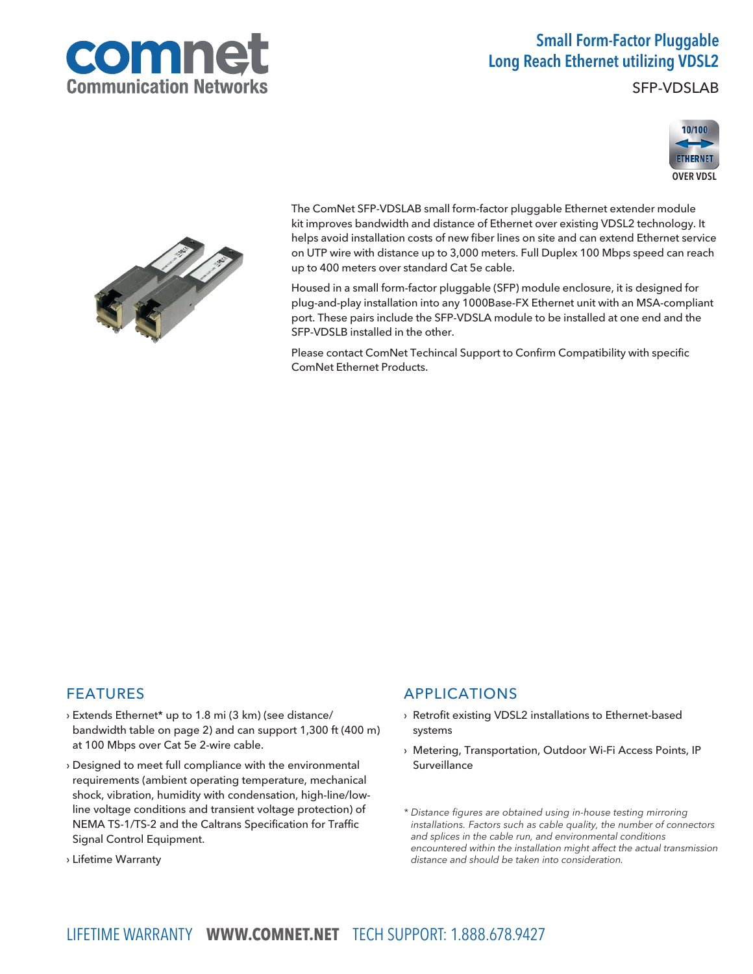

## Small Form-Factor Pluggable Long Reach Ethernet utilizing VDSL2

SFP-VDSLAB





The ComNet SFP-VDSLAB small form-factor pluggable Ethernet extender module kit improves bandwidth and distance of Ethernet over existing VDSL2 technology. It helps avoid installation costs of new fiber lines on site and can extend Ethernet service on UTP wire with distance up to 3,000 meters. Full Duplex 100 Mbps speed can reach up to 400 meters over standard Cat 5e cable.

Housed in a small form-factor pluggable (SFP) module enclosure, it is designed for plug-and-play installation into any 1000Base-FX Ethernet unit with an MSA-compliant port. These pairs include the SFP-VDSLA module to be installed at one end and the SFP-VDSLB installed in the other.

Please contact ComNet Techincal Support to Confirm Compatibility with specific ComNet Ethernet Products.

## FEATURES

- › Extends Ethernet\* up to 1.8 mi (3 km) (see distance/ bandwidth table on page 2) and can support 1,300 ft (400 m) at 100 Mbps over Cat 5e 2-wire cable.
- › Designed to meet full compliance with the environmental requirements (ambient operating temperature, mechanical shock, vibration, humidity with condensation, high-line/lowline voltage conditions and transient voltage protection) of NEMA TS-1/TS-2 and the Caltrans Specification for Traffic Signal Control Equipment.
- › Lifetime Warranty

### APPLICATIONS

- › Retrofit existing VDSL2 installations to Ethernet-based systems
- › Metering, Transportation, Outdoor Wi-Fi Access Points, IP Surveillance
- \* Distance figures are obtained using in-house testing mirroring installations. Factors such as cable quality, the number of connectors and splices in the cable run, and environmental conditions encountered within the installation might affect the actual transmission distance and should be taken into consideration.